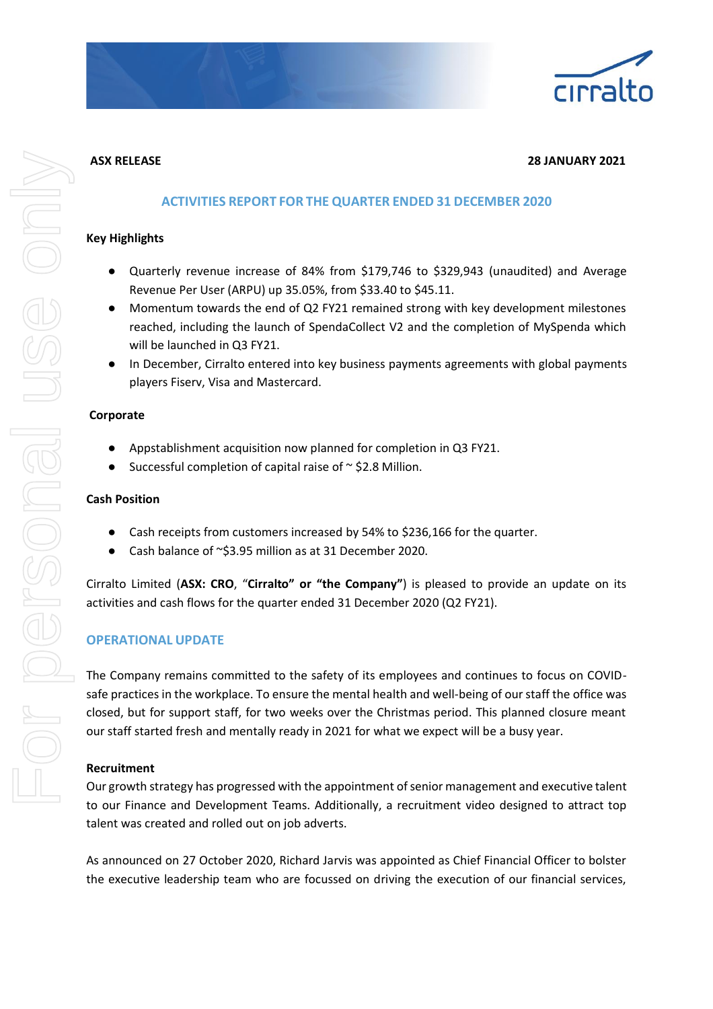

## **ASX RELEASE 28 JANUARY 2021**

## **ACTIVITIES REPORT FOR THE QUARTER ENDED 31 DECEMBER 2020**

#### **Key Highlights**

- Quarterly revenue increase of 84% from \$179,746 to \$329,943 (unaudited) and Average Revenue Per User (ARPU) up 35.05%, from \$33.40 to \$45.11.
- Momentum towards the end of Q2 FY21 remained strong with key development milestones reached, including the launch of SpendaCollect V2 and the completion of MySpenda which will be launched in Q3 FY21.
- In December, Cirralto entered into key business payments agreements with global payments players Fiserv, Visa and Mastercard.

#### **Corporate**

- Appstablishment acquisition now planned for completion in Q3 FY21.
- Successful completion of capital raise of  $\sim$  \$2.8 Million.

#### **Cash Position**

- Cash receipts from customers increased by 54% to \$236,166 for the quarter.
- Cash balance of  $\sim$ \$3.95 million as at 31 December 2020.

Cirralto Limited (**ASX: CRO**, "**Cirralto" or "the Company"**) is pleased to provide an update on its activities and cash flows for the quarter ended 31 December 2020 (Q2 FY21).

## **OPERATIONAL UPDATE**

The Company remains committed to the safety of its employees and continues to focus on COVIDsafe practices in the workplace. To ensure the mental health and well-being of our staff the office was closed, but for support staff, for two weeks over the Christmas period. This planned closure meant our staff started fresh and mentally ready in 2021 for what we expect will be a busy year.

#### **Recruitment**

Our growth strategy has progressed with the appointment of senior management and executive talent to our Finance and Development Teams. Additionally, a recruitment video designed to attract top talent was created and rolled out on job adverts.

As announced on 27 October 2020, Richard Jarvis was appointed as Chief Financial Officer to bolster the executive leadership team who are focussed on driving the execution of our financial services,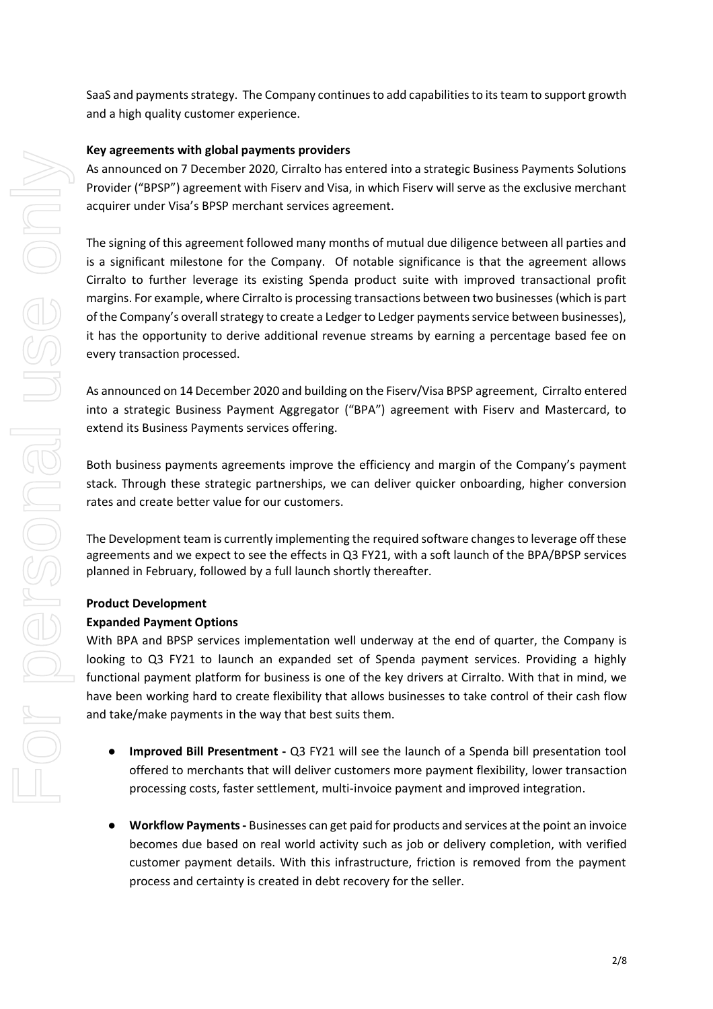## **Key agreements with global payments providers**

As announced on 7 December 2020, Cirralto has entered into a strategic Business Payments Solutions Provider ("BPSP") agreement with Fiserv and Visa, in which Fiserv will serve as the exclusive merchant acquirer under Visa's BPSP merchant services agreement.

The signing of this agreement followed many months of mutual due diligence between all parties and is a significant milestone for the Company. Of notable significance is that the agreement allows Cirralto to further leverage its existing Spenda product suite with improved transactional profit margins. For example, where Cirralto is processing transactions between two businesses (which is part of the Company's overall strategy to create a Ledger to Ledger payments service between businesses), it has the opportunity to derive additional revenue streams by earning a percentage based fee on every transaction processed.

As announced on 14 December 2020 and building on the Fiserv/Visa BPSP agreement, Cirralto entered into a strategic Business Payment Aggregator ("BPA") agreement with Fiserv and Mastercard, to extend its Business Payments services offering.

Both business payments agreements improve the efficiency and margin of the Company's payment stack. Through these strategic partnerships, we can deliver quicker onboarding, higher conversion rates and create better value for our customers.

The Development team is currently implementing the required software changes to leverage off these agreements and we expect to see the effects in Q3 FY21, with a soft launch of the BPA/BPSP services planned in February, followed by a full launch shortly thereafter.

## **Product Development**

## **Expanded Payment Options**

With BPA and BPSP services implementation well underway at the end of quarter, the Company is looking to Q3 FY21 to launch an expanded set of Spenda payment services. Providing a highly functional payment platform for business is one of the key drivers at Cirralto. With that in mind, we have been working hard to create flexibility that allows businesses to take control of their cash flow and take/make payments in the way that best suits them.

- **Improved Bill Presentment -** Q3 FY21 will see the launch of a Spenda bill presentation tool offered to merchants that will deliver customers more payment flexibility, lower transaction processing costs, faster settlement, multi-invoice payment and improved integration.
- **Workflow Payments -** Businesses can get paid for products and services at the point an invoice becomes due based on real world activity such as job or delivery completion, with verified customer payment details. With this infrastructure, friction is removed from the payment process and certainty is created in debt recovery for the seller.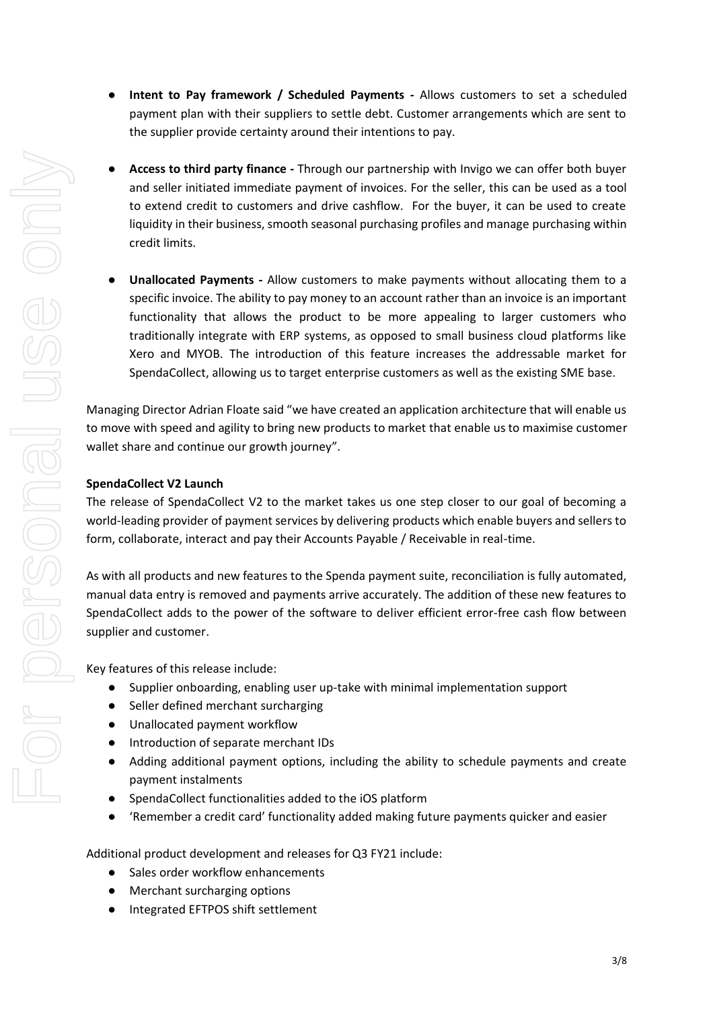- **Intent to Pay framework / Scheduled Payments -** Allows customers to set a scheduled payment plan with their suppliers to settle debt. Customer arrangements which are sent to the supplier provide certainty around their intentions to pay.
- Access to third party finance Through our partnership with Invigo we can offer both buyer and seller initiated immediate payment of invoices. For the seller, this can be used as a tool to extend credit to customers and drive cashflow. For the buyer, it can be used to create liquidity in their business, smooth seasonal purchasing profiles and manage purchasing within credit limits.
- **Unallocated Payments -** Allow customers to make payments without allocating them to a specific invoice. The ability to pay money to an account rather than an invoice is an important functionality that allows the product to be more appealing to larger customers who traditionally integrate with ERP systems, as opposed to small business cloud platforms like Xero and MYOB. The introduction of this feature increases the addressable market for SpendaCollect, allowing us to target enterprise customers as well as the existing SME base.

Managing Director Adrian Floate said "we have created an application architecture that will enable us to move with speed and agility to bring new products to market that enable us to maximise customer wallet share and continue our growth journey".

# **SpendaCollect V2 Launch**

The release of SpendaCollect V2 to the market takes us one step closer to our goal of becoming a world-leading provider of payment services by delivering products which enable buyers and sellers to form, collaborate, interact and pay their Accounts Payable / Receivable in real-time.

As with all products and new features to the Spenda payment suite, reconciliation is fully automated, manual data entry is removed and payments arrive accurately. The addition of these new features to SpendaCollect adds to the power of the software to deliver efficient error-free cash flow between supplier and customer.

Key features of this release include:

- Supplier onboarding, enabling user up-take with minimal implementation support
- Seller defined merchant surcharging
- Unallocated payment workflow
- Introduction of separate merchant IDs
- Adding additional payment options, including the ability to schedule payments and create payment instalments
- SpendaCollect functionalities added to the iOS platform
- 'Remember a credit card' functionality added making future payments quicker and easier

Additional product development and releases for Q3 FY21 include:

- Sales order workflow enhancements
- Merchant surcharging options
- Integrated EFTPOS shift settlement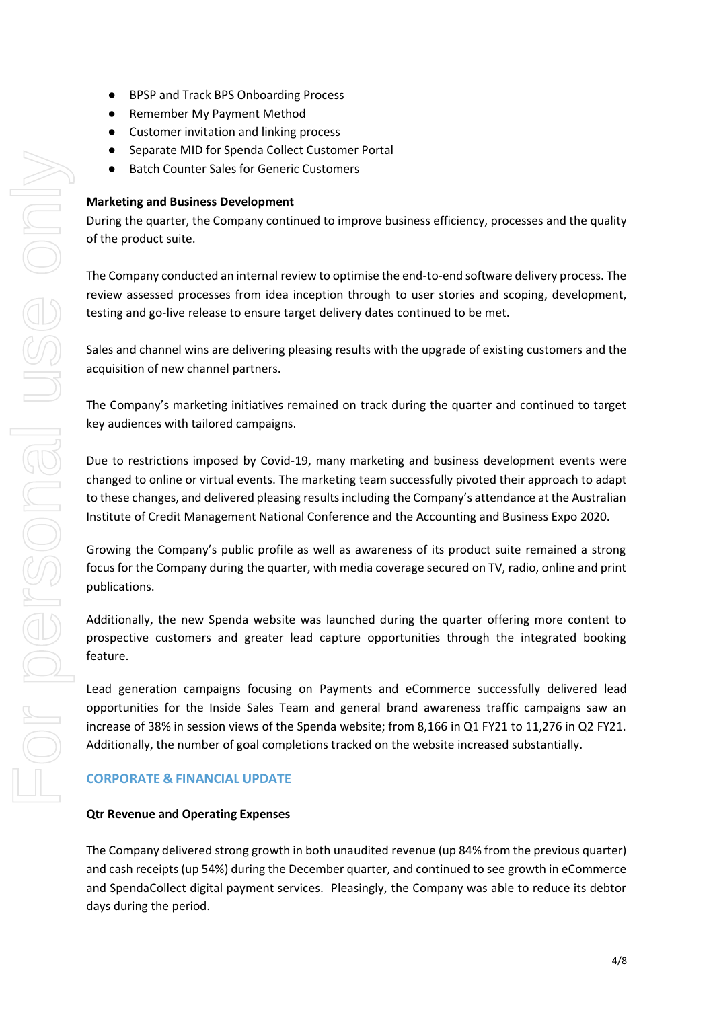- BPSP and Track BPS Onboarding Process
- Remember My Payment Method
- Customer invitation and linking process
- Separate MID for Spenda Collect Customer Portal
- Batch Counter Sales for Generic Customers

## **Marketing and Business Development**

During the quarter, the Company continued to improve business efficiency, processes and the quality of the product suite.

The Company conducted an internal review to optimise the end-to-end software delivery process. The review assessed processes from idea inception through to user stories and scoping, development, testing and go-live release to ensure target delivery dates continued to be met.

Sales and channel wins are delivering pleasing results with the upgrade of existing customers and the acquisition of new channel partners.

The Company's marketing initiatives remained on track during the quarter and continued to target key audiences with tailored campaigns.

Due to restrictions imposed by Covid-19, many marketing and business development events were changed to online or virtual events. The marketing team successfully pivoted their approach to adapt to these changes, and delivered pleasing results including the Company's attendance at the Australian Institute of Credit Management National Conference and the Accounting and Business Expo 2020.

Growing the Company's public profile as well as awareness of its product suite remained a strong focus for the Company during the quarter, with media coverage secured on TV, radio, online and print publications.

Additionally, the new Spenda website was launched during the quarter offering more content to prospective customers and greater lead capture opportunities through the integrated booking feature.

Lead generation campaigns focusing on Payments and eCommerce successfully delivered lead opportunities for the Inside Sales Team and general brand awareness traffic campaigns saw an increase of 38% in session views of the Spenda website; from 8,166 in Q1 FY21 to 11,276 in Q2 FY21. Additionally, the number of goal completions tracked on the website increased substantially.

## **CORPORATE & FINANCIAL UPDATE**

## **Qtr Revenue and Operating Expenses**

The Company delivered strong growth in both unaudited revenue (up 84% from the previous quarter) and cash receipts (up 54%) during the December quarter, and continued to see growth in eCommerce and SpendaCollect digital payment services. Pleasingly, the Company was able to reduce its debtor days during the period.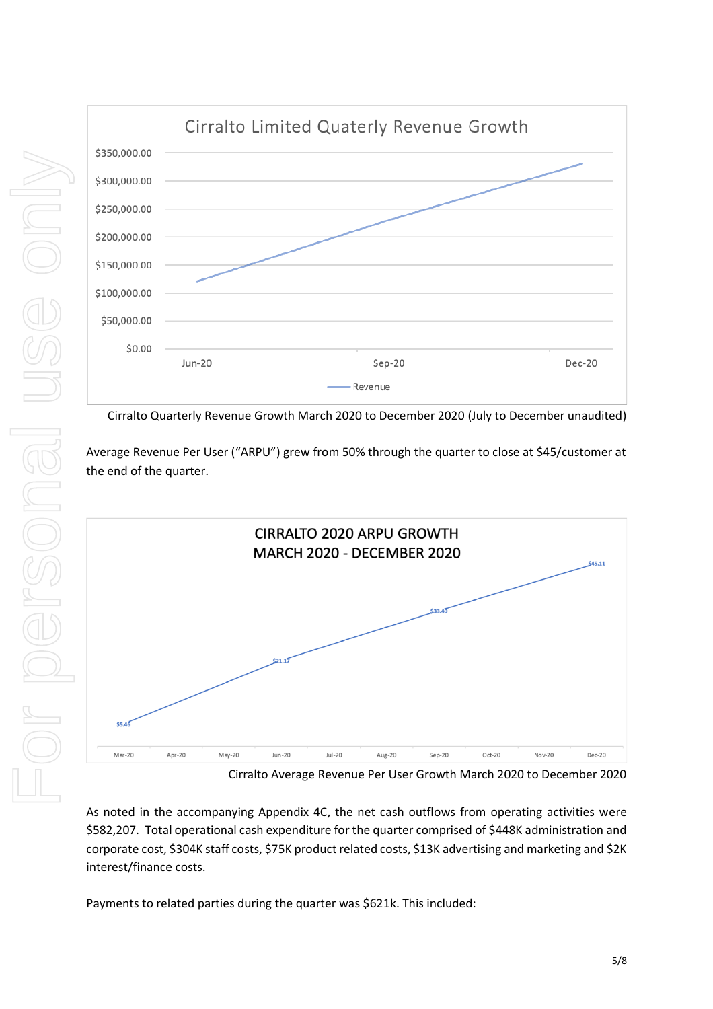

Cirralto Quarterly Revenue Growth March 2020 to December 2020 (July to December unaudited)

Average Revenue Per User ("ARPU") grew from 50% through the quarter to close at \$45/customer at the end of the quarter.



Cirralto Average Revenue Per User Growth March 2020 to December 2020

As noted in the accompanying Appendix 4C, the net cash outflows from operating activities were \$582,207. Total operational cash expenditure for the quarter comprised of \$448K administration and corporate cost, \$304K staff costs, \$75K product related costs, \$13K advertising and marketing and \$2K interest/finance costs.

Payments to related parties during the quarter was \$621k. This included: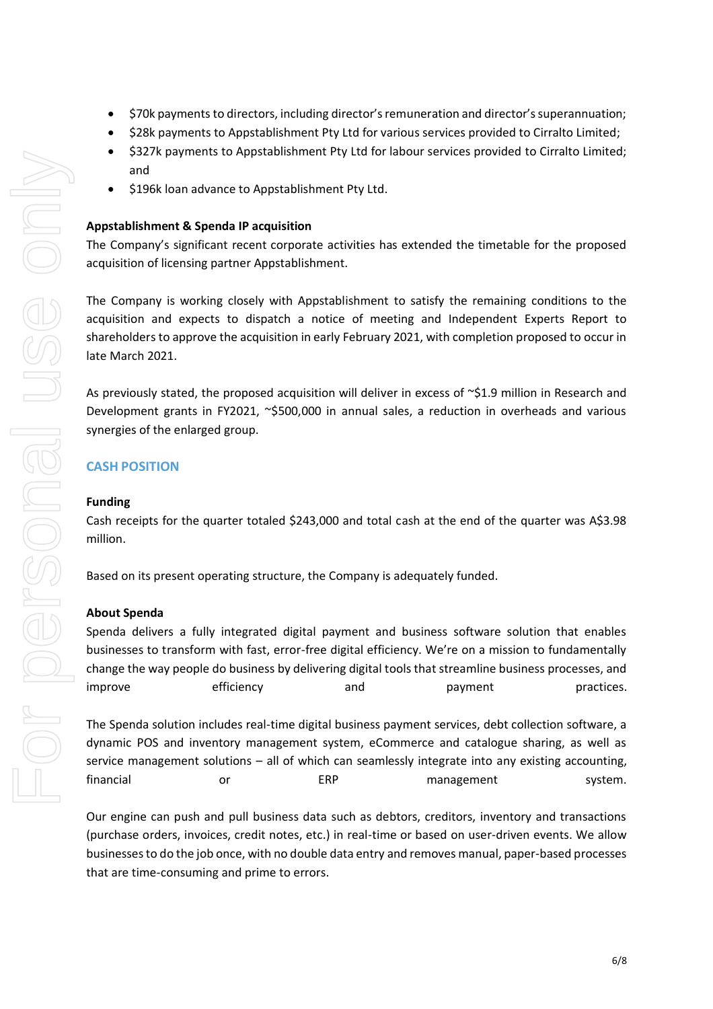- \$70k payments to directors, including director's remuneration and director's superannuation;
- \$28k payments to Appstablishment Pty Ltd for various services provided to Cirralto Limited;
- \$327k payments to Appstablishment Pty Ltd for labour services provided to Cirralto Limited; and
- \$196k loan advance to Appstablishment Pty Ltd.

## **Appstablishment & Spenda IP acquisition**

The Company's significant recent corporate activities has extended the timetable for the proposed acquisition of licensing partner Appstablishment.

The Company is working closely with Appstablishment to satisfy the remaining conditions to the acquisition and expects to dispatch a notice of meeting and Independent Experts Report to shareholders to approve the acquisition in early February 2021, with completion proposed to occur in late March 2021.

As previously stated, the proposed acquisition will deliver in excess of  $\sim$ \$1.9 million in Research and Development grants in FY2021, ~\$500,000 in annual sales, a reduction in overheads and various synergies of the enlarged group.

## **CASH POSITION**

#### **Funding**

Cash receipts for the quarter totaled \$243,000 and total cash at the end of the quarter was A\$3.98 million.

Based on its present operating structure, the Company is adequately funded.

## **About Spenda**

Spenda delivers a fully integrated digital payment and business software solution that enables businesses to transform with fast, error-free digital efficiency. We're on a mission to fundamentally change the way people do business by delivering digital tools that streamline business processes, and improve efficiency and payment practices.

The Spenda solution includes real-time digital business payment services, debt collection software, a dynamic POS and inventory management system, eCommerce and catalogue sharing, as well as service management solutions – all of which can seamlessly integrate into any existing accounting, financial or  $ERP$  management system.

Our engine can push and pull business data such as debtors, creditors, inventory and transactions (purchase orders, invoices, credit notes, etc.) in real-time or based on user-driven events. We allow businesses to do the job once, with no double data entry and removes manual, paper-based processes that are time-consuming and prime to errors.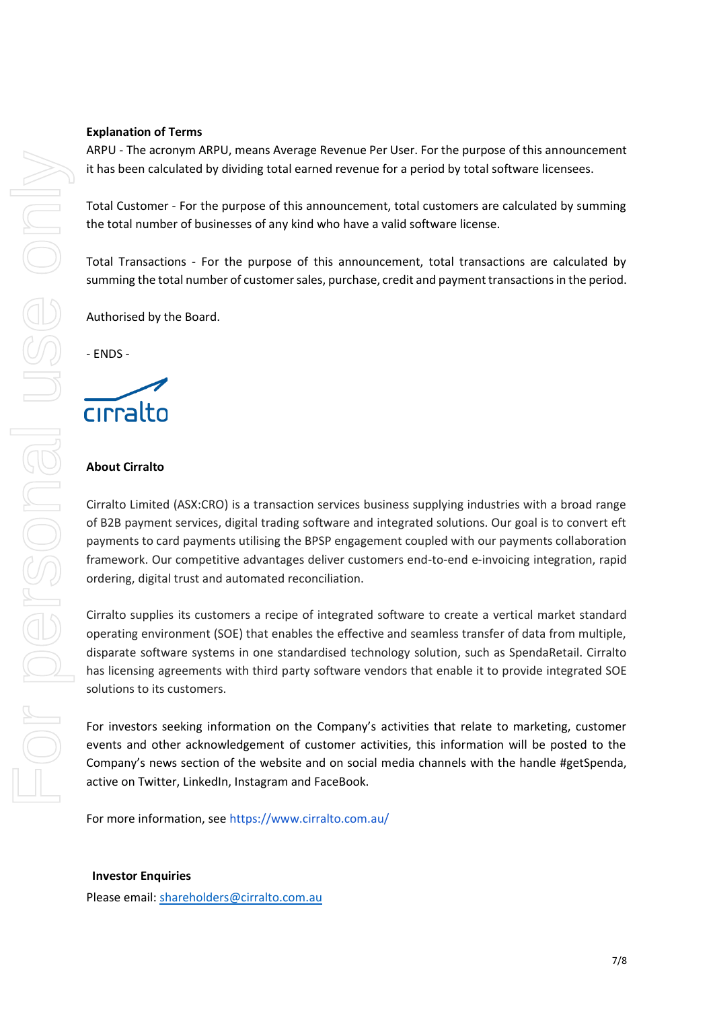#### **Explanation of Terms**

ARPU - The acronym ARPU, means Average Revenue Per User. For the purpose of this announcement it has been calculated by dividing total earned revenue for a period by total software licensees.

Total Customer - For the purpose of this announcement, total customers are calculated by summing the total number of businesses of any kind who have a valid software license.

Total Transactions - For the purpose of this announcement, total transactions are calculated by summing the total number of customer sales, purchase, credit and payment transactions in the period.

Authorised by the Board.

- ENDS -

# cirralto

#### **About Cirralto**

Cirralto Limited (ASX:CRO) is a transaction services business supplying industries with a broad range of B2B payment services, digital trading software and integrated solutions. Our goal is to convert eft payments to card payments utilising the BPSP engagement coupled with our payments collaboration framework. Our competitive advantages deliver customers end-to-end e-invoicing integration, rapid ordering, digital trust and automated reconciliation.

Cirralto supplies its customers a recipe of integrated software to create a vertical market standard operating environment (SOE) that enables the effective and seamless transfer of data from multiple, disparate software systems in one standardised technology solution, such as SpendaRetail. Cirralto has licensing agreements with third party software vendors that enable it to provide integrated SOE solutions to its customers.

For investors seeking information on the Company's activities that relate to marketing, customer events and other acknowledgement of customer activities, this information will be posted to the Company's news section of the website and on social media channels with the handle #getSpenda, active on Twitter, LinkedIn, Instagram and FaceBook.

For more information, see<https://www.cirralto.com.au/>

**Investor Enquiries**

Please email: [shareholders@cirralto.com.au](mailto:shareholders@cirralto.com.au)